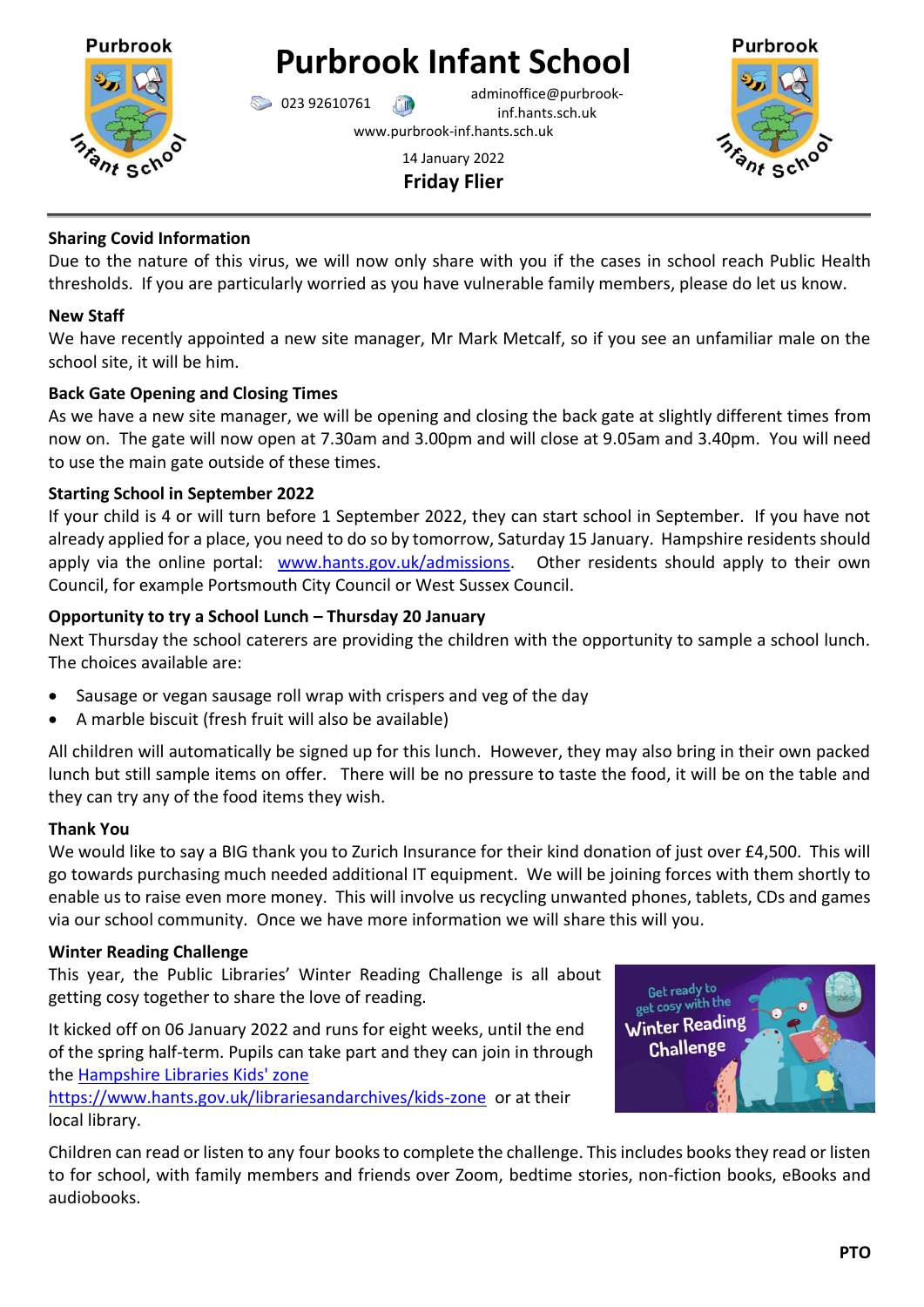

# **Purbrook Infant School**

023 92610761 adminoffice@purbrookinf.hants.sch.uk www.purbrook-inf.hants.sch.uk

# 14 January 2022 **Friday Flier**



# **Sharing Covid Information**

Due to the nature of this virus, we will now only share with you if the cases in school reach Public Health thresholds. If you are particularly worried as you have vulnerable family members, please do let us know.

## **New Staff**

We have recently appointed a new site manager, Mr Mark Metcalf, so if you see an unfamiliar male on the school site, it will be him.

## **Back Gate Opening and Closing Times**

As we have a new site manager, we will be opening and closing the back gate at slightly different times from now on. The gate will now open at 7.30am and 3.00pm and will close at 9.05am and 3.40pm. You will need to use the main gate outside of these times.

## **Starting School in September 2022**

If your child is 4 or will turn before 1 September 2022, they can start school in September. If you have not already applied for a place, you need to do so by tomorrow, Saturday 15 January. Hampshire residents should apply via the online portal: [www.hants.gov.uk/admissions.](http://www.hants.gov.uk/admissions) Other residents should apply to their own Council, for example Portsmouth City Council or West Sussex Council.

# **Opportunity to try a School Lunch – Thursday 20 January**

Next Thursday the school caterers are providing the children with the opportunity to sample a school lunch. The choices available are:

- Sausage or vegan sausage roll wrap with crispers and veg of the day
- A marble biscuit (fresh fruit will also be available)

All children will automatically be signed up for this lunch. However, they may also bring in their own packed lunch but still sample items on offer. There will be no pressure to taste the food, it will be on the table and they can try any of the food items they wish.

## **Thank You**

We would like to say a BIG thank you to Zurich Insurance for their kind donation of just over £4,500. This will go towards purchasing much needed additional IT equipment. We will be joining forces with them shortly to enable us to raise even more money. This will involve us recycling unwanted phones, tablets, CDs and games via our school community. Once we have more information we will share this will you.

## **Winter Reading Challenge**

This year, the Public Libraries' Winter Reading Challenge is all about getting cosy together to share the love of reading.

It kicked off on 06 January 2022 and runs for eight weeks, until the end of the spring half-term. Pupils can take part and they can join in through the [Hampshire Libraries Kids' zone](Hampshire%20Libraries%20Kids) 

<https://www.hants.gov.uk/librariesandarchives/kids-zone>or at their local library.



Children can read or listen to any four books to complete the challenge. This includes books they read or listen to for school, with family members and friends over Zoom, bedtime stories, non-fiction books, eBooks and audiobooks.